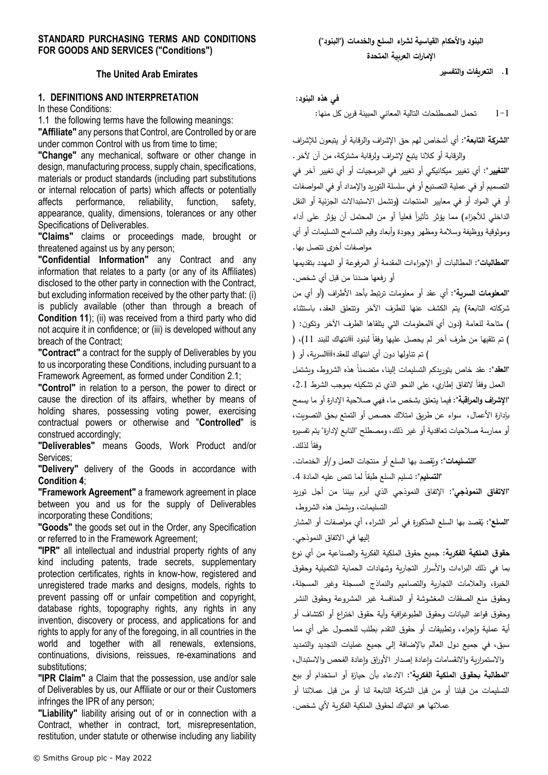## **The United Arab Emirates**

# **1. DEFINITIONS AND INTERPRETATION**

In these Conditions:

1.1 the following terms have the following meanings: **"Affiliate"** any persons that Control, are Controlled by or are under common Control with us from time to time;

**"Change"** any mechanical, software or other change in design, manufacturing process, supply chain, specifications, materials or product standards (including part substitutions or internal relocation of parts) which affects or potentially affects performance, reliability, function, safety, appearance, quality, dimensions, tolerances or any other Specifications of Deliverables.

**"Claims"** claims or proceedings made, brought or threatened against us by any person;

**"Confidential Information"** any Contract and any information that relates to a party (or any of its Affiliates) disclosed to the other party in connection with the Contract, but excluding information received by the other party that: (i) is publicly available (other than through a breach of **Condition [11](#page-10-0)**); (ii) was received from a third party who did not acquire it in confidence; or (iii) is developed without any breach of the Contract;

**"Contract"** a contract for the supply of Deliverables by you to us incorporating these Conditions, including pursuant to a Framework Agreement, as formed under Condition [2.1;](#page-2-0)

**"Control"** in relation to a person, the power to direct or cause the direction of its affairs, whether by means of holding shares, possessing voting power, exercising contractual powers or otherwise and "**Controlled**" is construed accordingly;

**"Deliverables"** means Goods, Work Product and/or Services;

**"Delivery"** delivery of the Goods in accordance with **Condition [4](#page-3-0)**;

**"Framework Agreement"** a framework agreement in place between you and us for the supply of Deliverables incorporating these Conditions;

**"Goods"** the goods set out in the Order, any Specification or referred to in the Framework Agreement;

**"IPR"** all intellectual and industrial property rights of any kind including patents, trade secrets, supplementary protection certificates, rights in know-how, registered and unregistered trade marks and designs, models, rights to prevent passing off or unfair competition and copyright, database rights, topography rights, any rights in any invention, discovery or process, and applications for and rights to apply for any of the foregoing, in all countries in the world and together with all renewals, extensions, continuations, divisions, reissues, re-examinations and substitutions;

**"IPR Claim"** a Claim that the possession, use and/or sale of Deliverables by us, our Affiliate or our or their Customers infringes the IPR of any person;

**"Liability"** liability arising out of or in connection with a Contract, whether in contract, tort, misrepresentation, restitution, under statute or otherwise including any liability **.1 التعريفات والتفسير**

**في هذه البنود:** 

1-1 تحمل المصطلحات التالية المعاني المبينة قرين كل منها:

**"الشركة التابعة":** أي أشخاص لهم حق اإلش ارف والرقابة أو يتبعون لإلش ارف والرقابة أو كالنا يتبع إلشراف ولرقابة مشتركة، من آن آلخر.

**"التغيير":** أي تغيير ميكانيكي أو تغيير في البرمجيات أو أي تغيير آخر في التصميم أو في عملية التصنيع أو في سلسلة التوريد واإلمداد أو في المواصفات أو في المواد أو في معايير المنتجات )وتشمل االستبداالت الجزئية أو النقل 'لداخلي للأجزاء) مما يؤثر تأثيرا فعليا أو من المحتمل أن يؤثر على أداء وموثوقية ووظيفة وسالمة ومظهر وجودة وأبعاد وقيم التسامح التسليمات أو أي مواصفات أخرى تتصل بها.

**"المطالبات"**: المطالبات أو اإلجراءات المقدمة أو المرفوعة أو المهدد بتقديمها أو رفعها ضدنا من قبل أي شخص.

**"المعلومات السرية"**: أي عقد أو معلومات ترتبط بأحد األطراف )أو أي من شركاته التابعة) يتم الكشف عنها للطرف الآخر وتتعلق العقد، باستثناء ) متاحة للعامة (دون أي االمعلومات التي يتلقاها الطرف الآخر وتكون: ( ) تم تلقيها من طرف أخر لم يحصل عليها وفقا لبنود أأانتهاك للبند 11)، ( ( تم تناولها دون أي انتهاك للعقد؛iiiالسرية، أو )

ا**لنعقد**": عقد خاص بتوريدكم التسليمات إلينا، متضمنا هذه الشروط، ويشتمل العمل وفقاً لاتفاق إطاري، على النحو الذي تم تشكيله بموجب الشرط 2.1، **"اإلشراف والمراقبة"**: فيما يتعلق بشخص ما، فهي صالحية اإلدارة أو ما يسمح بإدارة األعمال، سواء عن طريق امتالك حصص أو التمتع بحق التصويت، أو ممارسة صالحيات تعاقدية أو غير ذلك، ومصطلح "التابع إلدارة" يتم تفسيره وفقا لذلك.

"**التسليمات":** ويُقصد بها السلع أو منتجات العمل و/أو الخدمات.<br>"

: تسليم السلع طبقا .4 ً **"التسليم"** لما تنص عليه المادة

**"االتفاق النموذجي"**: اإلتفاق النموذجي الذي أبرم بيننا من أجل توريد التسليمات، ويشمل هذه الشروط،

**'السلع":** يُقصد بها السلع المذكورة في أمر الشراء، أي مواصفات أو المشار إليها في االتفاق النموذجي.

**حقوق الملكية الفكرية**: جميع حقوق الملكية الفكرية والصناعية من أي نوع بما في ذلك البراءات والأسرار التجاربة وشهادات الحماية التكميلية وحقوق الخبرة، والعالمات التجارية والتصاميم والنماذج المسجلة وغير المسجلة، وحقوق منع الصفقات المغشوشة أو المنافسة غير المشروعة وحقوق النشر وحقوق قواعد البيانات وحقوق الطبوغرافية وأية حقوق اختراع أو اكتشاف أو أية عملية وإجراء، وتطبيقات أو حقوق التقدم بطلب للحصول على أي مما سبق، في جميع دول العالم باإلضافة إلى جميع عمليات التجديد والتمديد والاستمرارية والانقسامات وإعادة إصدار الأوراق وإعادة الفحص والاستبدال، **"المطالبة بحقوق الملكية الفكرية"**: االدعاء بأن حيازة أو استخدام أو بيع التسليمات من قبلنا أو من قبل الشركة التابعة لنا أو من قبل عمالئنا أو عمالئها هو انتهاك لحقوق الملكية الفكرية ألي شخص.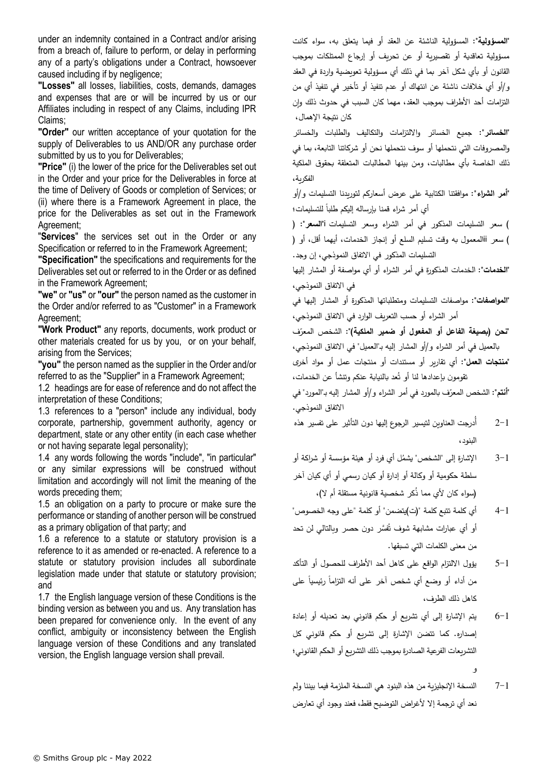under an indemnity contained in a Contract and/or arising from a breach of, failure to perform, or delay in performing any of a party's obligations under a Contract, howsoever caused including if by negligence;

**"Losses"** all losses, liabilities, costs, demands, damages and expenses that are or will be incurred by us or our Affiliates including in respect of any Claims, including IPR Claims;

**"Order"** our written acceptance of your quotation for the supply of Deliverables to us AND/OR any purchase order submitted by us to you for Deliverables;

**"Price"** (i) the lower of the price for the Deliverables set out in the Order and your price for the Deliverables in force at the time of Delivery of Goods or completion of Services; or (ii) where there is a Framework Agreement in place, the price for the Deliverables as set out in the Framework Agreement;

"**Services**" the services set out in the Order or any Specification or referred to in the Framework Agreement;

**"Specification"** the specifications and requirements for the Deliverables set out or referred to in the Order or as defined in the Framework Agreement;

**"we"** or **"us"** or**"our"** the person named as the customer in the Order and/or referred to as "Customer" in a Framework Agreement;

**"Work Product"** any reports, documents, work product or other materials created for us by you, or on your behalf, arising from the Services;

**"you"** the person named as the supplier in the Order and/or referred to as the "Supplier" in a Framework Agreement;

1.2 headings are for ease of reference and do not affect the interpretation of these Conditions;

1.3 references to a "person" include any individual, body corporate, partnership, government authority, agency or department, state or any other entity (in each case whether or not having separate legal personality);

1.4 any words following the words "include", "in particular" or any similar expressions will be construed without limitation and accordingly will not limit the meaning of the words preceding them;

1.5 an obligation on a party to procure or make sure the performance or standing of another person will be construed as a primary obligation of that party; and

1.6 a reference to a statute or statutory provision is a reference to it as amended or re-enacted. A reference to a statute or statutory provision includes all subordinate legislation made under that statute or statutory provision; and

1.7 the English language version of these Conditions is the binding version as between you and us. Any translation has been prepared for convenience only. In the event of any conflict, ambiguity or inconsistency between the English language version of these Conditions and any translated version, the English language version shall prevail.

**"المسؤولية"**: المسؤولية الناشئة عن العقد أو فيما يتعلق به، سواء كانت مسؤولية تعاقدية أو تقصيرية أو عن تحريف أو إرجاع الممتلكات بموجب القانون أو بأي شكل آخر بما في ذلك أي مسؤولية تعويضية واردة في العقد و/أو أي خالفات ناشئة عن انتهاك أو عدم تنفيذ أو تأخير في تنفيذ أي من التزامات أحد الأطراف بموجب العقد، مهما كان السبب في حدوث ذلك وإن كان نتيجة اإلهمال،

**"الخسائر"**: جميع الخسائر وااللتزامات والتكاليف والطلبات والخسائر والمصروفات التي نتحملها أو سوف نتحملها نحن أو شركاتنا التابعة، بما في ذلك الخاصة بأي مطالبات، ومن بينها المطالبات المتعلقة بحقوق الملكية الفكرية،

**"أمر الشراء"**: موافقتنا الكتابية على عرض أسعاركم لتوريدنا التسليمات و/أو أي أمر شراء قمنا بإرساله إليكم طلبا للتسليمات؛

( سعر التسليمات المذكور في أمر الشراء وسعر التسليمات i**"السعر"**: ) ( سعر iiالمعمول به وقت تسليم السلع أو إنجاز الخدمات، أيهما أقل، أو ) التسليمات المذكور في االتفاق النموذجي، إن وجد.

**"الخدمات"**: الخدمات المذكورة في أمر الشراء أو أي مواصفة أو المشار إليها في االتفاق النموذجي،

**"المواصفات"**: مواصفات التسليمات ومتطلباتها المذكورة أو المشار إليها في أمر الشراء أو حسب التعريف الوارد في االتفاق النموذجي،

<mark>تحن (بصيغة الفاعل أو المفعول أو ضمير الملكية)</mark>": الشخص المعرّف بالعميل في أمر الشراء و/أو المشار إليه بـ"العميل" في االتفاق النموذجي، **"منتجات العمل"**: أي تقارير أو مستندات أو منتجات عمل أو مواد أخرى

تقومون بإعدادها لنا أو تُعد بالنيابة عنكم وتنشأ عن الخدمات،

'**أنتم**": الشخص المعرّف بالمورد في أمر الشراء و/أو المشار إليه بـ"المورد" في االتفاق النموذجي.

- 2-1 أُدرجت العناوين لتيسير الرجوع إليها دون التأثير على تفسير هذه البنود،
- 3–1 الإشارة إلى "الشخص" يشمُل أي فرد أو هيئة مؤسسة أو شراكة أو سلطة حكومية أو وكالة أو إدارة أو كيان رسمي أو أي كيان آخر (سواء كان لأي مما ذكر شخصية قانونية مستقلة أم لا)،
- 4-1 أي كلمة تتبع كلمة ")ت(يتضمن" أو كلمة "على وجه الخصوص" أو أي عبارات مشابهة شوف تُفسَّر دون حصر وبالتالي لن تحد من معنى الكلمات التي تسبقها.
- 5-1 يؤول االلتزام الواقع على كاهل أحد األطراف للحصول أو التأكد من أداء أو وضع أي شخص أخر على أنه التزاما رئيسيا على كاهل ذلك الطرف،
- 6-1 يتم اإلشارة إلى أي تشريع أو حكم قانوني بعد تعديله أو إعادة إصداره. كما تتضن اإلشارة إلى تشريع أو حكم قانوني كل التشريعات الفرعية الصادرة بموجب ذلك التشريع أو الحكم القانوني؛ و
- 7-1 النسخة اإلنجليزية من هذه البنود هي النسخة الملزمة فيما بيننا ولم نعد أي ترجمة إال ألغراض التوضيح فقط، فعند وجود أي تعارض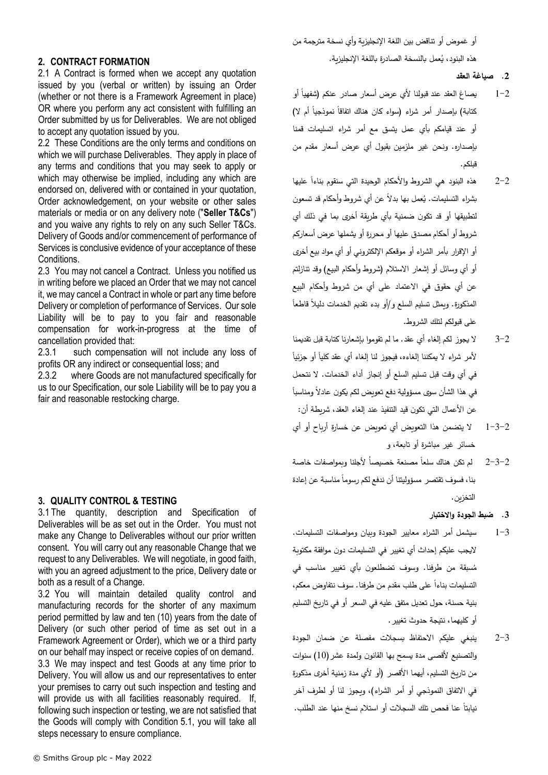أو غموض أو تناقض بين اللغة اإلنجليزية وأي نسخة مترجمة من هذه البنود، يُعمل بالنسخة الصادرة باللغة الإنجليزية.<br>.

#### **.2 صياغة العقد**

- 1–2 يصاغ العقد عند قبولنا لأي عرض أسعار صادر عنكم (شفهيا أو كتابة) بإصدار أمر شراء (سواء كان هناك اتفاقا نموذجيا أم لا) أو عند قيامكم بأي عمل يتسق مع أمر شراء اتسليمات قمنا بإصداره. ونحن غير ملزمين بقبول أي عرض أسعار مقدم من قبلكم.
- 2–2  $\,$  هذه البنود هي الشروط والأحكام الوحيدة التي سنقوم بناءا عليها بشراء التسليمات. يُعمل بها بدلًا عن أي شروط وأحكام قد تسعون لتطبيقها أو قد تكون ضمنية بأي طريقة أخرى بما في ذلك أي شروط أو أحكام مصدق عليها أو محررة أو يشملها عرض أسعاركم أو الإقرار بأمر الشراء أو موقعكم الإلكتروني أو أي مواد بيع أخرى أو أي وسائل أو إشعار الاستلام (شروط وأحكام البيع) وقد تنازلتم عن أي حقوق في االعتماد على أي من شروط وأحكام البيع ً المذكورة. ويمثل تسليم السلع و/أو بدء تقديم الخدمات د ليالً قاطعا على قبولكم لتلك الشروط.
- 3-2 ال يجوز لكم إلغاء أي عقد. ما لم تقوموا بإشعارنا كتابة قبل تقديمنا لأمر شراء لا يمكننا إلغاءه، فيجوز لنا إلغاء أي عقد كليا أو جزئيا في أي وقت قبل تسليم السلع أو إنجاز أداء الخدمات. ال نتحمل ً في هذا الشأن سوى مسؤولية دفع تعويض لكم يكون عادالً ومناسبا عن الأعمال التي تكون قيد التتفيذ عند إلغاء العقد، شريطة أن:
- 1-3-2 ال يتضمن هذا التعويض أي تعويض عن خسارة أرباح أو أي خسائر غير مباشرة أو تابعة، و
- 2–3 $-2$  لم تكن هناك سلعا مصنعة خصيصاً لأجلنا وبمواصفات خاصة بنا، فسوف تقتصر مسؤوليتنا أن ندفع لكم رسوما مناسبة عن إعادة التخزين.
	- **.3 ضبط الجودة واالختبار**
- 1-3 سيشمل أمر الشراء معايير الجودة وبيان ومواصفات التسليمات. اليجب عليكم إحداث أي تغيير في التسليمات دون موافقة مكتوبة سبقة من طرفنا. وسوف تضطلعون بأي تغيير مناسب في ُ م التسليمات بناءا على طلب مقدم من طرفنا. سوف نتفاوض معكم، بنية حسنة، حول تعديل متفق عليه في السعر أو في تاريخ التسليم أو كليهما، نتيجة حدوث تغيير.
- 2-3 ينبغي عليكم االحتفاظ بسجالت مفصلة عن ضمان الجودة والتصنيع لأقصى مدة يسمح بها القانون ولمدة عشر (10) سنوات من تاريخ التسليم، أيهما الأقصر (أو لأي مدة زمنية أخرى مذكورة في الاتفاق النموذجي أو أمر الشراء)، وبجوز لنا أو لطرف آخر ً عنا فحص تلك السجالت أو استالم نسخ منها عند الطلب. نيابتا

## **2. CONTRACT FORMATION**

<span id="page-2-0"></span>2.1 A Contract is formed when we accept any quotation issued by you (verbal or written) by issuing an Order (whether or not there is a Framework Agreement in place) OR where you perform any act consistent with fulfilling an Order submitted by us for Deliverables. We are not obliged to accept any quotation issued by you.

2.2 These Conditions are the only terms and conditions on which we will purchase Deliverables. They apply in place of any terms and conditions that you may seek to apply or which may otherwise be implied, including any which are endorsed on, delivered with or contained in your quotation, Order acknowledgement, on your website or other sales materials or media or on any delivery note ("**Seller T&Cs**") and you waive any rights to rely on any such Seller T&Cs. Delivery of Goods and/or commencement of performance of Services is conclusive evidence of your acceptance of these **Conditions** 

2.3 You may not cancel a Contract. Unless you notified us in writing before we placed an Order that we may not cancel it, we may cancel a Contract in whole or part any time before Delivery or completion of performance of Services. Our sole Liability will be to pay to you fair and reasonable compensation for work-in-progress at the time of cancellation provided that:

2.3.1 such compensation will not include any loss of profits OR any indirect or consequential loss; and

2.3.2 where Goods are not manufactured specifically for us to our Specification, our sole Liability will be to pay you a fair and reasonable restocking charge.

## **3. QUALITY CONTROL & TESTING**

3.1 The quantity, description and Specification of Deliverables will be as set out in the Order. You must not make any Change to Deliverables without our prior written consent. You will carry out any reasonable Change that we request to any Deliverables. We will negotiate, in good faith, with you an agreed adjustment to the price, Delivery date or both as a result of a Change.

3.2 You will maintain detailed quality control and manufacturing records for the shorter of any maximum period permitted by law and ten (10) years from the date of Delivery (or such other period of time as set out in a Framework Agreement or Order), which we or a third party on our behalf may inspect or receive copies of on demand.

3.3 We may inspect and test Goods at any time prior to Delivery. You will allow us and our representatives to enter your premises to carry out such inspection and testing and will provide us with all facilities reasonably required. If, following such inspection or testing, we are not satisfied that the Goods will comply with Condition [5.1,](#page-4-0) you will take all steps necessary to ensure compliance.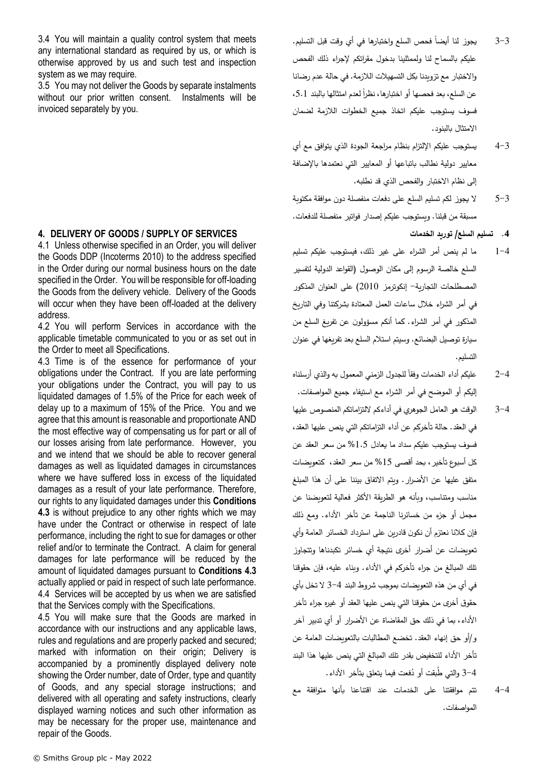3.4 You will maintain a quality control system that meets any international standard as required by us, or which is otherwise approved by us and such test and inspection system as we may require.

3.5 You may not deliver the Goods by separate instalments without our prior written consent. Instalments will be invoiced separately by you.

# <span id="page-3-0"></span>**4. DELIVERY OF GOODS / SUPPLY OF SERVICES**

4.1 Unless otherwise specified in an Order, you will deliver the Goods DDP (Incoterms 2010) to the address specified in the Order during our normal business hours on the date specified in the Order. You will be responsible for off-loading the Goods from the delivery vehicle. Delivery of the Goods will occur when they have been off-loaded at the delivery address.

4.2 You will perform Services in accordance with the applicable timetable communicated to you or as set out in the Order to meet all Specifications.

<span id="page-3-1"></span>4.3 Time is of the essence for performance of your obligations under the Contract. If you are late performing your obligations under the Contract, you will pay to us liquidated damages of 1.5% of the Price for each week of delay up to a maximum of 15% of the Price. You and we agree that this amount is reasonable and proportionate AND the most effective way of compensating us for part or all of our losses arising from late performance. However, you and we intend that we should be able to recover general damages as well as liquidated damages in circumstances where we have suffered loss in excess of the liquidated damages as a result of your late performance. Therefore, our rights to any liquidated damages under this **Conditions [4.3](#page-3-1)** is without prejudice to any other rights which we may have under the Contract or otherwise in respect of late performance, including the right to sue for damages or other relief and/or to terminate the Contract. A claim for general damages for late performance will be reduced by the amount of liquidated damages pursuant to **Conditions [4.3](#page-3-1)** actually applied or paid in respect of such late performance. 4.4 Services will be accepted by us when we are satisfied that the Services comply with the Specifications.

4.5 You will make sure that the Goods are marked in accordance with our instructions and any applicable laws, rules and regulations and are properly packed and secured; marked with information on their origin; Delivery is accompanied by a prominently displayed delivery note showing the Order number, date of Order, type and quantity of Goods, and any special storage instructions; and delivered with all operating and safety instructions, clearly displayed warning notices and such other information as may be necessary for the proper use, maintenance and repair of the Goods.

- 3–3 ٪ يجوز لنا أيضا فحص السلع واختبارها في أي وقت قبل التسليم. عليكم بالسماح لنا ولممثلينا بدخول مقراتكم إلجراء ذلك الفحص واالختبار مع تزويدنا بكل التسهيالت الالزمة. في حالة عدم رضانا عن السلع، بعد فحصها أو اختبارها، نظرا لعدم امتثالها بالبند 5.1، فسوف يستوجب عليكم اتخاذ جميع الخطوات الالزمة لضمان االمتثال بالبنود.
- 4-3 يستوجب عليكم اإللتزام بنظام مراجعة الجودة الذي يتوافق مع أي معايير دولية نطالب باتباعها أو المعايير التي نعتمدها باإلضافة إلى نظام االختبار والفحص الذي قد نطلبه.
- 5-3 ال يجوز لكم تسليم السلع على دفعات منفصلة دون موافقة مكتوبة مسبقة من قبلنا. ويستوجب عليكم إصدار فواتير منفصلة للدفعات.

**.4 تسليم السلع/ توريد الخدمات** 

- 1-4 ما لم ينص أمر الشراء على غير ذلك، فيستوجب عليكم تسليم السلع خالصة الرسوم إلى مكان الوصول )القواعد الدولية لتفسير المصطلحات التجارية- إنكوترمز 2010( على العنوان المذكور في أمر الشراء خالل ساعات العمل المعتادة بشركتنا وفي التاريخ المذكور في أمر الشراء. كما أنكم مسؤولون عن تفريغ السلع من سيارة توصيل البضائع. وسيتم استالم السلع بعد تفريغها في عنوان التسليم.
- 2–2  $\,$  عليكم أداء الخدمات وفقا للجدول الزمني المعمول به والذي أرسلناه إليكم أو الموضح في أمر الشراء مع استيفاء جميع المواصفات.
- 3-4 الوقت هو العامل الجوهري في أداءكم لالتزاماتكم المنصوص عليها في العقد. حالة تأخركم عن أداء التزاماتكم التي ينص عليها العقد، فسوف يستوجب عليكم سداد ما يعادل %1.5 من سعر العقد عن كل أسبوع تأخير، بحد أقصى %15 من سعر العقد، كتعويضات متفق عليها عن األضرار. ويتم االتفاق بيننا على أن هذا المبلغ مناسب ومتناسب، وبأنه هو الطريقة الأكثر فعالية لتعويضنا عن مجمل أو جزء من خسائرنا الناجمة عن تأخر األداء. ومع ذلك فإن كالنا نعتزم أن نكون قادرين على استرداد الخسائر العامة وأي .<br>تعويضات عن أضرار أخرى نتيجة أي خسائر تكبدناها وتتجاوز تلك المبالغ من جراء تأخركم في األداء. وبناء عليه، فإن حقوقنا في أي من هذه التعويضات بموجب شروط البند 3-4 ال تخل بأي حقوق أخرى من حقوقنا التي ينص عليها العقد أو غيره جراء تأخر األداء، بما في ذلك حق المقاضاة عن األضرار أو أي تدبير آخر و/أو حق إنهاء العقد. تخضع المطالبات بالتعويضات العامة عن تأخر األداء للتخفيض بقدر تلك المبالغ التي ينص عليها هذا البند 3–4 والتي طبقت أو دُفعت فيما يتعلق بتأخر الأداء.
- 4-4 تتم موافقتنا على الخدمات عند اقتناعنا بأنها متوافقة مع المواصفات.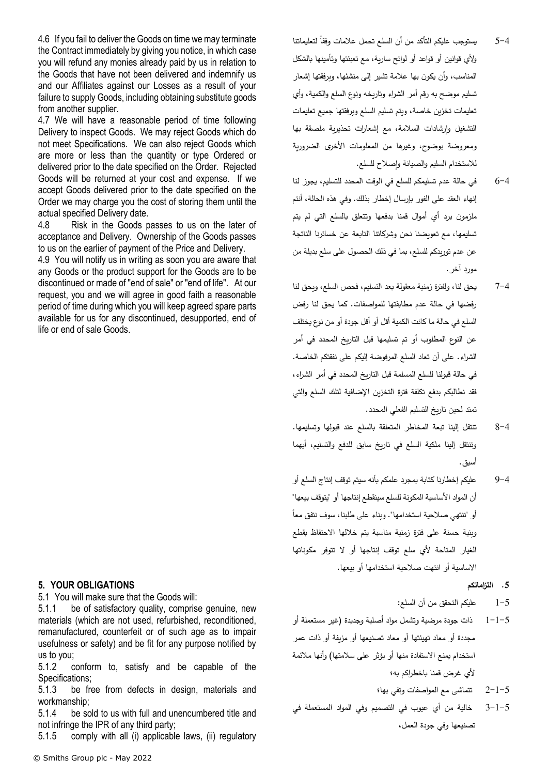4.6 If you fail to deliver the Goods on time we may terminate the Contract immediately by giving you notice, in which case you will refund any monies already paid by us in relation to the Goods that have not been delivered and indemnify us and our Affiliates against our Losses as a result of your failure to supply Goods, including obtaining substitute goods from another supplier.

4.7 We will have a reasonable period of time following Delivery to inspect Goods. We may reject Goods which do not meet Specifications. We can also reject Goods which are more or less than the quantity or type Ordered or delivered prior to the date specified on the Order. Rejected Goods will be returned at your cost and expense. If we accept Goods delivered prior to the date specified on the Order we may charge you the cost of storing them until the actual specified Delivery date.

4.8 Risk in the Goods passes to us on the later of acceptance and Delivery. Ownership of the Goods passes to us on the earlier of payment of the Price and Delivery.

4.9 You will notify us in writing as soon you are aware that any Goods or the product support for the Goods are to be discontinued or made of "end of sale" or "end of life". At our request, you and we will agree in good faith a reasonable period of time during which you will keep agreed spare parts available for us for any discontinued, desupported, end of life or end of sale Goods.

# **5. YOUR OBLIGATIONS**

<span id="page-4-0"></span>5.1 You will make sure that the Goods will:

5.1.1 be of satisfactory quality, comprise genuine, new materials (which are not used, refurbished, reconditioned, remanufactured, counterfeit or of such age as to impair usefulness or safety) and be fit for any purpose notified by us to you;

5.1.2 conform to, satisfy and be capable of the Specifications;

5.1.3 be free from defects in design, materials and workmanship;

5.1.4 be sold to us with full and unencumbered title and not infringe the IPR of any third party;

5.1.5 comply with all (i) applicable laws, (ii) regulatory

- 5–4 ٪ يستوجب عليكم التأكد من أن السلع تحمل علامات وفقا لتعليماتنا وألي قوانين أو قواعد أو لوائح سارية، مع تعبئتها وتأمينها بالشكل المناسب، وأن يكون بها عالمة تشير إلى منشئها، وبرفقتها إشعار تسليم موضح به رقم أمر الشراء وتاريخه ونوع السلع والكمية، و أي تعليمات تخزين خاصة، ويتم تسليم السلع وبرفقتها جميع تعليمات التشغيل وإرشادات السالمة، مع إشعارات تحذيرية ملصقة بها ومعروضة بوضوح، وغيرها من المعلومات األخرى الضرورية لالستخدام السليم والصيانة وإصالح للسلع.
- 6-4 في حالة عدم تسليمكم للسلع في الوقت المحدد للتسليم، يجوز لنا إنهاء العقد على الفور بإرسال إخطار بذلك. وفي هذه الحالة، أنتم ملزمون برد أي أموال قمنا بدفعها وتتعلق بالسلع التي لم يتم تسليمها، مع تعويضنا نحن وشركاتنا التابعة عن خسائرنا الناتجة عن عدم توريدكم للسلع، بما في ذلك الحصول على سلع بديلة من مورد آخر.
- 7-4 يحق لنا، ولفترة زمنية معقولة بعد التسليم، فحص السلع، ويحق لنا رفضها في حالة عدم مطابقتها للمواصفات. كما يحق لنا رفض السلع في حالة ما كانت الكمية أقل أو أقل جودة أو من نوع يختلف عن النوع المطلوب أو تم تسليمها قبل التاريخ المحدد في أمر الشراء. على أن تعاد السلع المرفوضة إليكم على نفقتكم الخاصة. في حالة قبولنا للسلع المسلمة قبل التاريخ المحدد في أمر الشراء، فقد نطالبكم بدفع تكلفة فترة التخزين اإلضافية لتلك السلع والتي تمتد لحين تاريخ التسليم الفعلي المحدد.
- 8-4 تنتقل إلينا تبعة المخاطر المتعلقة بالسلع عند قبولها وتسليمها. وتنتقل إلينا ملكية السلع في تاريخ سابق للدفع والتسليم، أيهما أسبق.
- 9-4 عليكم إخطارنا كتابة بمجرد علمكم بأنه سيتم توقف إنتاج السلع أو أن المواد الأساسية المكونة للسلع سينقطع إنتاجها أو "يتوقف بيعها" لو "تتتهي صلاحية استخدامها". وبناء على طلبنا، سوف نتفق معا وبنية حسنة على فترة زمنية مناسبة يتم خاللها االحتفاظ بقطع الغيار المتاحة ألي سلع توقف إنتاجها أو ال تتوفر مكوناتها االساسية أو انتهت صالحية استخدامها أو بيعها.
	- **.5 التزاماتكم**
	- 1-5 عليكم التحقق من أن السلع:
- ذات جودة مرضية وتشمل مواد أصلية وجديدة (غير مستعملة أو $1\text{--}1\text{--}5$ مجددة أو معاد تهيئتها أو معاد تصنيعها أو مزيفة أو ذات عمر استخدام يمنع االستفادة منها أو يؤثر على سالمتها( وأنها مالئمة ألي غرض قمنا باخطراكم به؛
	- تتماشى مع المواصفات وتفى بها؛  $2-1-5$
- 3-1-5 خالية من أي عيوب في التصميم وفي المواد المستعملة في تصنيعها وفي جودة العمل،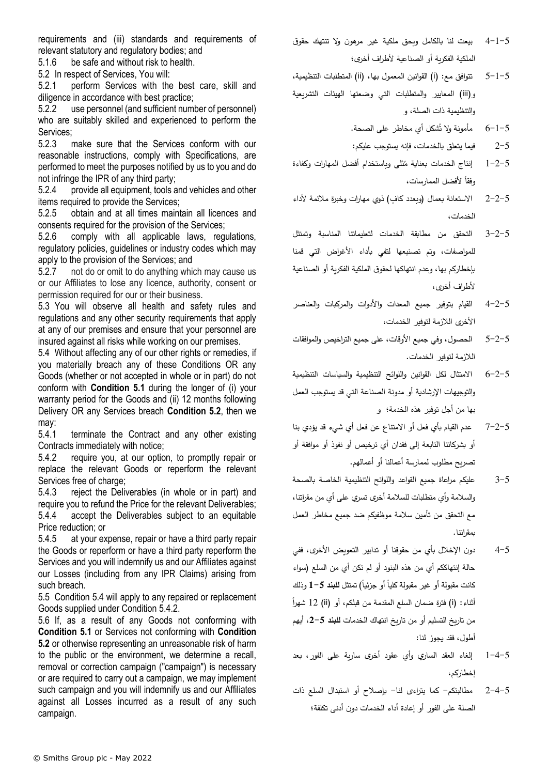requirements and (iii) standards and requirements of relevant statutory and regulatory bodies; and

5.1.6 be safe and without risk to health.

<span id="page-5-0"></span>5.2 In respect of Services, You will:

5.2.1 perform Services with the best care, skill and diligence in accordance with best practice;

5.2.2 use personnel (and sufficient number of personnel) who are suitably skilled and experienced to perform the Services;

5.2.3 make sure that the Services conform with our reasonable instructions, comply with Specifications, are performed to meet the purposes notified by us to you and do not infringe the IPR of any third party;

5.2.4 provide all equipment, tools and vehicles and other items required to provide the Services;

5.2.5 obtain and at all times maintain all licences and consents required for the provision of the Services;

5.2.6 comply with all applicable laws, regulations, regulatory policies, guidelines or industry codes which may apply to the provision of the Services; and

5.2.7 not do or omit to do anything which may cause us or our Affiliates to lose any licence, authority, consent or permission required for our or their business.

5.3 You will observe all health and safety rules and regulations and any other security requirements that apply at any of our premises and ensure that your personnel are insured against all risks while working on our premises.

<span id="page-5-1"></span>5.4 Without affecting any of our other rights or remedies, if you materially breach any of these Conditions OR any Goods (whether or not accepted in whole or in part) do not conform with **Condition [5.1](#page-4-0)** during the longer of (i) your warranty period for the Goods and (ii) 12 months following Delivery OR any Services breach **Condition [5.2](#page-5-0)**, then we may:

5.4.1 terminate the Contract and any other existing Contracts immediately with notice;

<span id="page-5-2"></span>5.4.2 require you, at our option, to promptly repair or replace the relevant Goods or reperform the relevant Services free of charge:

5.4.3 reject the Deliverables (in whole or in part) and require you to refund the Price for the relevant Deliverables; 5.4.4 accept the Deliverables subject to an equitable Price reduction; or

5.4.5 at your expense, repair or have a third party repair the Goods or reperform or have a third party reperform the Services and you will indemnify us and our Affiliates against our Losses (including from any IPR Claims) arising from such breach.

5.5 Condition [5.4](#page-5-1) will apply to any repaired or replacement Goods supplied under Condition [5.4.2.](#page-5-2)

5.6 If, as a result of any Goods not conforming with **Condition [5.1](#page-4-0)** or Services not conforming with **Condition [5.2](#page-5-0)** or otherwise representing an unreasonable risk of harm to the public or the environment, we determine a recall, removal or correction campaign ("campaign") is necessary or are required to carry out a campaign, we may implement such campaign and you will indemnify us and our Affiliates against all Losses incurred as a result of any such campaign.

- 4-1-5 بيعت لنا بالكامل وبحق ملكية غير مرهون وال تنتهك حقوق الملكية الفكرية أو الصناعية لأطراف أخرى؛
- 5-1-5 تتوافق مع: (i) القوانين المعمول بها، (ii) المتطلبات التنظيمية، و) iii )المعايير والمتطلبات التي وضعتها الهيئات التشريعية والتنظيمية ذات الصلة، و

ُشكل أي مخاطر على الصحة. 6-1-5 مأمونة وال ت

2-5 فيما يتعلق بالخدمات، فإنه يستوجب عليكم:

- 1–2−5 إنتاج الخدمات بعناية مُثلى وباستخدام أفضل المهارات وكفاءة رفقا لأفضل الممارسات،
- 2-2-5 الاستعانة بعمال (وبعدد كافٍ) ذوي مهارات وخبرة ملائمة لأداء الخدمات،
- 3-2-5 التحقق من مطابقة الخدمات لتعليماتنا المناسبة وتمتثل للمواصفات، وتم تصنيعها لتفي بأداء األغراض التي قمنا بإخطاركم بها، وعدم انتهاكها لحقوق الملكية الفكرية أو الصناعية لأطراف أخرى،
- 4-2-5 القيام بتوفير جميع المعدات واألدوات والمركبات والعناصر األخرى الالزمة لتوفير الخدمات،
- 5-2-5 الحصول، وفي جميع األوقات، على جميع التراخيص والموافقات الالزمة لتوفير الخدمات.
- 6-2-5 االمتثال لكل القوانين واللوائح التنظيمية والسياسات التنظيمية والتوجيهات اإلرشادية أو مدونة الصناعة التي قد يستوجب العمل بها من أجل توفير هذه الخدمة؛ و
- 7-2-5 عدم القيام بأي فعل أو االمتناع عن فعل أي شيء قد يؤدي بنا أو بشركاتنا التابعة إلى فقدان أي ترخيص أو نفوذ أو موافقة أو تصريح مطلوب لممارسة أعمالنا أو أعمالهم.
- 3-5 عليكم مراعاة جميع القواعد واللوائح التنظيمية الخاصة بالصحة والسلامة وأي متطلبات للسلامة أخرى تسري على أي من مقراتنا، مع التحقق من تأمين سالمة موظفيكم ضد جميع مخاطر العمل بمقراتنا.
- 4-5 دون اإلخالل بأي من حقوقنا أو تدابير التعويض األخرى، ففي حالة إنتهاككم أي من هذه البنود أو لم تكن أي من السلع )سواء كانت مقبولة أو غير مقبولة كليا أو جزئيا) تمتثل **للبند 5**–1 وذلك أثناء: (i) فترة ضمان السلع المقدمة من قبلكم، أو (ii) 12 شهراً من تاريخ التسليم أو من تاريخ انتهاك الخدمات **للبند** ،**2-5** أيهم أطول، فقد يجوز لنا:
- 1-4-5 إلغاء العقد الساري وأي عقود أخرى سارية على الفور، بعد إخطاركم،
- 2-4-5 مطالبتكم- كما يتراءى لنا- بإصالح أو استبدال السلع ذات الصلة على الفور أو إعادة أداء الخدمات دون أدنى تكلفة؛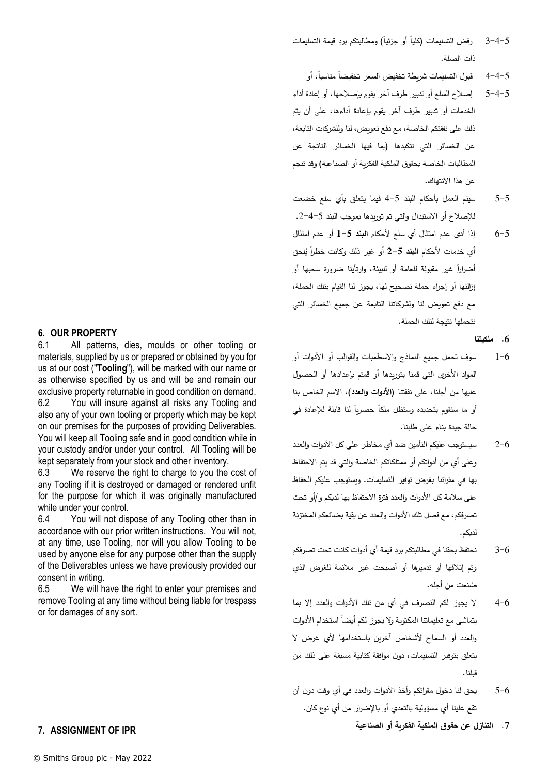- 5−4−3 رفض التسليمات (كليا أو جزئيا) ومطالبتكم برد قيمة التسليمات ذات الصلة.
	- 5–4–4 قبول التسليمات شريطة تخفيض السعر تخفيضا مناسبا، أو
- 5-4-5 إصالح السلع أو تدبير طرف آخر يقوم بإصالحها، أو إعادة أداء الخدمات أو تدبير طرف آخر يقوم بإعادة أداءها، على أن يتم ذلك على نفقتكم الخاصة، مع دفع تعويض، لنا وللشركات التابعة، عن الخسائر التي نتكبدها )بما فيها الخسائر الناتجة عن المطالبات الخاصة بحقوق الملكية الفكرية أو الصناعية) وقد تنجم عن هذا االنتهاك.
- 5-5 سيتم العمل بأحكام البند 4-5 فيما يتعلق بأي سلع خضعت لإلصالح أو االستبدال والتي تم توريدها بموجب البند .2-4-5
- 6-5 إذا أدى عدم امتثال أي سلع ألحكام **البند 1-5** أو عدم امتثال أي خدمات لأحكام ا**لنبند 5**–2 أو غير ذلك وكانت خطرا يُلحق أض ار ارً غير مقبولة للعامة أو للبيئة، وارتأينا ضرورة سحبها أو إزالتها أو إجراء حملة تصحيح لها، يجوز لنا القيام بتلك الحملة، مع دفع تعويض لنا ولشركاتنا التابعة عن جميع الخسائر التي نتحملها نتيجة لتلك الحملة.

#### **.6 ملكيتنا**

- 1-6 سوف تحمل جميع النماذج واالسطمبات والقوالب أو األدوات أو المواد الأخرى التي قمنا بتوريدها أو قمتم بإعدادها أو الحصول عليها من أجلنا، على نفقتنا ) **األدوات والعدد**(، االسم الخاص بنا أو ما سنقوم بتحديده وستظل ملكا حصريا لنا قابلة للإعادة في حالة جيدة بناء على طلبنا.
- 2-6 سيستوجب عليكم التأمين ضد أي مخاطر على كل األدوات والعدد وعلى أي من أدواتكم أو ممتلكاتكم الخاصة والتي قد يتم االحتفاظ بها في مقراتنا بغرض توفير التسليمات. ويستوجب عليكم الحفاظ على سالمة كل األدوات والعدد فترة االحتفاظ بها لديكم و/أو تحت تصرفكم، مع فصل تلك األدوات والعدد عن بقية بضائعكم المختزنة لديكم.
- 3-6 نحتفظ بحقنا في مطالبتكم برد قيمة أي أدوات كانت تحت تصرفكم وتم إتالفها أو تدميرها أو أصبحت غير مالئمة للغرض الذي نعت من أجله. ُ ص
- 4-6 ال يجوز لكم التصرف في أي من تلك األدوات والعدد إال بما بتماشى مع تعليماتنا المكتوبة ولا يجوز لكم أيضا استخدام الأدوات والعدد أو السماح ألشخاص آخرين باستخدامها ألي غرض ال يتعلق بتوفير التسليمات، دون موافقة كتابية مسبقة على ذلك من قبلنا.
- 5–6 يحق لنا دخول مقراتكم وأخذ الأدوات والعدد في أي وقت دون أن تقع علينا أي مسؤولية بالتعدي أو باإلضرار من أي نوع كان.

**.7 التنازل عن حقوق الملكية الفكرية أو الصناعية**

#### **6. OUR PROPERTY**

6.1 All patterns, dies, moulds or other tooling or materials, supplied by us or prepared or obtained by you for us at our cost ("**Tooling**"), will be marked with our name or as otherwise specified by us and will be and remain our exclusive property returnable in good condition on demand. 6.2 You will insure against all risks any Tooling and also any of your own tooling or property which may be kept on our premises for the purposes of providing Deliverables. You will keep all Tooling safe and in good condition while in your custody and/or under your control. All Tooling will be kept separately from your stock and other inventory.

6.3 We reserve the right to charge to you the cost of any Tooling if it is destroyed or damaged or rendered unfit for the purpose for which it was originally manufactured while under your control.

6.4 You will not dispose of any Tooling other than in accordance with our prior written instructions. You will not, at any time, use Tooling, nor will you allow Tooling to be used by anyone else for any purpose other than the supply of the Deliverables unless we have previously provided our consent in writing.

6.5 We will have the right to enter your premises and remove Tooling at any time without being liable for trespass or for damages of any sort.

# <span id="page-6-0"></span>**7. ASSIGNMENT OF IPR**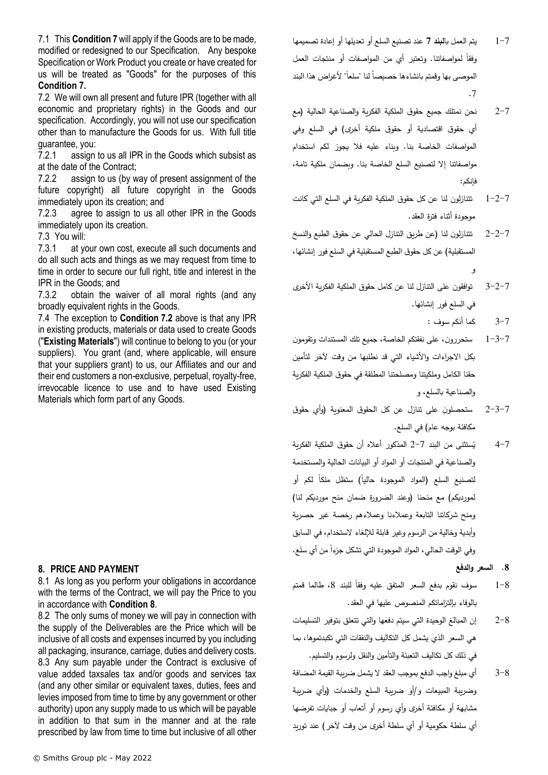7.1 This **Conditio[n 7](#page-6-0)** will apply if the Goods are to be made, modified or redesigned to our Specification. Any bespoke Specification or Work Product you create or have created for us will be treated as "Goods" for the purposes of this **Condition [7.](#page-6-0)**

<span id="page-7-0"></span>7.2 We will own all present and future IPR (together with all economic and proprietary rights) in the Goods and our specification. Accordingly, you will not use our specification other than to manufacture the Goods for us. With full title guarantee, you:

7.2.1 assign to us all IPR in the Goods which subsist as at the date of the Contract;

7.2.2 assign to us (by way of present assignment of the future copyright) all future copyright in the Goods immediately upon its creation; and

7.2.3 agree to assign to us all other IPR in the Goods immediately upon its creation.

7.3 You will:

7.3.1 at your own cost, execute all such documents and do all such acts and things as we may request from time to time in order to secure our full right, title and interest in the IPR in the Goods; and

7.3.2 obtain the waiver of all moral rights (and any broadly equivalent rights in the Goods.

7.4 The exception to **Condition [7.2](#page-7-0)** above is that any IPR in existing products, materials or data used to create Goods ("**Existing Materials**") will continue to belong to you (or your suppliers). You grant (and, where applicable, will ensure that your suppliers grant) to us, our Affiliates and our and their end customers a non-exclusive, perpetual, royalty-free, irrevocable licence to use and to have used Existing Materials which form part of any Goods.

# <span id="page-7-1"></span>**8. PRICE AND PAYMENT**

8.1 As long as you perform your obligations in accordance with the terms of the Contract, we will pay the Price to you in accordance with **Condition [8](#page-7-1)**.

8.2 The only sums of money we will pay in connection with the supply of the Deliverables are the Price which will be inclusive of all costs and expenses incurred by you including all packaging, insurance, carriage, duties and delivery costs. 8.3 Any sum payable under the Contract is exclusive of value added taxsales tax and/or goods and services tax (and any other similar or equivalent taxes, duties, fees and levies imposed from time to time by any government or other authority) upon any supply made to us which will be payable in addition to that sum in the manner and at the rate prescribed by law from time to time but inclusive of all other

- 2-7 نحن نمتلك جميع حقوق الملكية الفكرية والصناعية الحالية )مع أي حقوق اقتصادية أو حقوق ملكية أخرى) في السلع وفي المواصفات الخاصة بنا. وبناء عليه فال يجوز لكم استخدام مواصفاتنا إال لتصنيع السلع الخاصة بنا. وبضمان ملكية تامة، فإنكم:
- 1-2-7 تتنازلون لنا عن كل حقوق الملكية الفكرية في السلع التي كانت موجودة أثناء فترة العقد.
- 2-2-7 تتنازلون لنا )عن طريق التنازل الحالي عن حقوق الطبع والنسخ المستقبلية) عن كل حقوق الطبع المستقبلية في السلع فور إنشائها، و
- 3-2-7 توافقون على التنازل لنا عن كامل حقوق الملكية الفكرية األخرى في السلع فور إنشائها.
	- 3-7 كما أنكم سوف :
- 1-3-7 ستحررون، على نفقتكم الخاصة، جميع تلك المستندات وتقومون بكل االجراءات واألشياء التي قد نطلبها من وقت آلخر لتأمين حقنا الكامل وملكيتنا ومصلحتنا المطلقة في حقوق الملكية الفكرية والصناعية بالسلع، و
- 2-3-7 ستحصلون على تنازل عن كل الحقوق المعنوية )وأي حقوق مكافئة بوجه عام) في السلع.
- ُ 4-7 ستثنى من البند ي 2-7 المذكور أعاله أن حقوق الملكية الفكرية والصناعية في المنتجات أو المواد أو البيانات الحالية والمستخدمة لتصنيع السلع (المواد الموجودة حاليا) ستظل ملكا لكم أو لمورديكم) مع منحنا (وعند الضرورة ضمان منح مورديكم لنا) ومنح شركاتنا التابعة وعمالءنا وعمالءهم رخصة غير حصرية وأبدية وخالية من الرسوم وغير قابلة لإللغاء الستخدام، في السابق رفي الوقت الحالي، المواد الموجودة التي تشكل جزءاً من أي سلع.
	- **.8 السعر والدفع**
- 8–1 ٪ سوف نقوم بدفع السعر المتفق عليه وفقا للبند 8، طالما قمتم بالوفاء بإلت زاماتكم المنصوص عليها في العقد.
- 2-8 إن المبالغ الوحيدة التي سيتم دفعها والتي تتعلق بتوفير التسليمات هي السعر الذي يشمل كل التكاليف والنفقات التي تكبدتموها، بما في ذلك كل تكاليف التعبئة والتأمين والنقل ولرسوم والتسليم.
- 3-8 أي مبلغ واجب الدفع بموجب العقد ال يشمل ضريبة القيمة المضافة وضريبة المبيعات و/أو ضريبة السلع والخدمات )وأي ضريبة مشابهة أو مكافئة أخرى وأي رسوم أو أتعاب أو جبايات تفرضها أي سلطة حكومية أو أي سلطة أخرى من وقت آلخر( عند توريد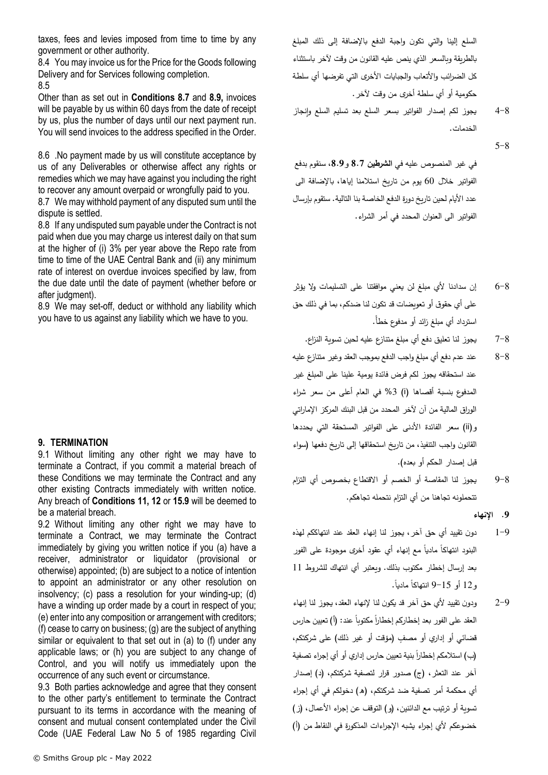taxes, fees and levies imposed from time to time by any government or other authority.

8.4 You may invoice us for the Price for the Goods following Delivery and for Services following completion. 8.5

Other than as set out in **Conditions [8.7](#page-8-0)** and **[8.9,](#page-8-1)** invoices will be payable by us within 60 days from the date of receipt by us, plus the number of days until our next payment run. You will send invoices to the address specified in the Order.

8.6 .No payment made by us will constitute acceptance by us of any Deliverables or otherwise affect any rights or remedies which we may have against you including the right to recover any amount overpaid or wrongfully paid to you.

<span id="page-8-0"></span>8.7 We may withhold payment of any disputed sum until the dispute is settled.

8.8 If any undisputed sum payable under the Contract is not paid when due you may charge us interest daily on that sum at the higher of (i) 3% per year above the Repo rate from time to time of the UAE Central Bank and (ii) any minimum rate of interest on overdue invoices specified by law, from the due date until the date of payment (whether before or after judgment).

<span id="page-8-1"></span>8.9 We may set-off, deduct or withhold any liability which you have to us against any liability which we have to you.

## **9. TERMINATION**

9.1 Without limiting any other right we may have to terminate a Contract, if you commit a material breach of these Conditions we may terminate the Contract and any other existing Contracts immediately with written notice. Any breach of **Conditions 11, 12** or **[15.9](#page-13-0)** will be deemed to be a material breach.

9.2 Without limiting any other right we may have to terminate a Contract, we may terminate the Contract immediately by giving you written notice if you (a) have a receiver, administrator or liquidator (provisional or otherwise) appointed; (b) are subject to a notice of intention to appoint an administrator or any other resolution on insolvency; (c) pass a resolution for your winding-up; (d) have a winding up order made by a court in respect of you; (e) enter into any composition or arrangement with creditors; (f) cease to carry on business; (g) are the subject of anything similar or equivalent to that set out in (a) to (f) under any applicable laws; or (h) you are subject to any change of Control, and you will notify us immediately upon the occurrence of any such event or circumstance.

9.3 Both parties acknowledge and agree that they consent to the other party's entitlement to terminate the Contract pursuant to its terms in accordance with the meaning of consent and mutual consent contemplated under the Civil Code (UAE Federal Law No 5 of 1985 regarding Civil السلع إلينا والتي تكون واجبة الدفع باإلضافة إلى ذلك المبلغ بالطريقة وبالسعر الذي ينص عليه القانون من وقت آلخر باستثناء كل الضرائب والأتعاب والجبايات الأخرى التي تفرضها أي سلطة حكومية أو أي سلطة أخرى من وقت آلخر.

4-8 يجوز لكم إصدار الفواتير بسعر السلع بعد تسليم السلع وإنجاز الخدمات.

 $5 - 8$ 

في غير المنصوص عليه في **الشر طين 8.7** و**،8.9** سنقوم بدفع الفواتير خالل 60 يوم من تاريخ استالمنا إياها، باإلضافة الى عدد الأيام لحين تاريخ دورة الدفع الخاصة بنا التالية. ستقوم بإرسال الفواتير الى العنوان المحدد في أمر الشراء.

- 6-8 إن سدادنا ألي مبلغ لن يعني موافقتنا على التسليمات وال يؤثر على أي حقوق أو تعويضات قد تكون لنا ضدكم، بما في ذلك حق استرداد أي مبلغ زائد أو مدفوع خطأ.ً
	- 7-8 يجوز لنا تعليق دفع أي مبلغ متنازع عليه لحين تسوية النزاع.
- 8-8 عند عدم دفع أي مبلغ واجب الدفع بموجب العقد وغير متنازع عليه عند استحقاقه يجوز لكم فرض فائدة يومية علينا على المبلغ غير المدفوع بنسبة أقصاها (i) 3% في العام أعلى من سعر شراء الوراق المالية من آن آلخر المحدد من قبل البنك المركز اإلماراتي و(ii) سعر الفائدة الأدنى على الفواتير المستحقة التي يحددها القانون واجب التنفيذ، من تاريخ استحقاقها إلى تاريخ دفعها )سواء قبل إصدار الحكم أو بعده).
- 9-8 يجوز لنا المقاصة أو الخصم أو االقتطاع بخصوص أي التزام تتحملونه تجاهنا من أي التزام نتحمله تجاهكم.
	- **.9 اإلنهاء**
- 1-9 دون تقييد أي حق آخر، يجوز لنا إنهاء العقد عند انتهاككم لهذه البنود انتهاكاً مادياً مع إنهاء أي عقود أخرى موجودة على الفور بعد إرسال إخطار مكتوب بذلك. ويعتبر أي انتهاك للشروط 11 .ً ً ماديا و12 أو 9-15 انتهاكا
- 2-9 ودون تقييد ألي حق آخر قد يكون لنا إلنهاء العقد، يجوز لنا إنهاء العقد على الفور بعد إخطاركم إخطارا مكتوبا عند: (أ) تعيين حارس قضائي أو إداري أو مصفٍ (مؤقت أو غير ذلك) على شركتكم، (ب) استلامكم إخطاراً بنية تعيين حارس إداري أو أي إجراء تصفية آخر عند التعثر، )ج( صدور قرار لتصفية شركتكم، )د( إصدار أي محكمة أمر تصفية ضد شركتكم، (هـ) دخولكم في أي إجراء تسوية أو ترتيب مع الدائنين، (و) التوقف عن إجراء الأعمال، (ز) خضوعكم لأي إجراء يشبه الإجراءات المذكورة في النقاط من (أ)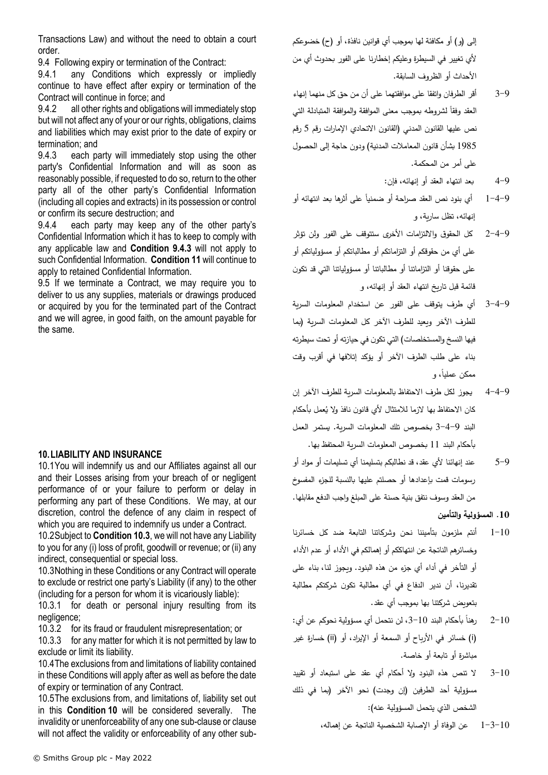Transactions Law) and without the need to obtain a court order.

9.4 Following expiry or termination of the Contract:

9.4.1 any Conditions which expressly or impliedly continue to have effect after expiry or termination of the Contract will continue in force; and

9.4.2 all other rights and obligations will immediately stop but will not affect any of your or our rights, obligations, claims and liabilities which may exist prior to the date of expiry or termination; and

<span id="page-9-0"></span>9.4.3 each party will immediately stop using the other party's Confidential Information and will as soon as reasonably possible, if requested to do so, return to the other party all of the other party's Confidential Information (including all copies and extracts) in its possession or control or confirm its secure destruction; and

9.4.4 each party may keep any of the other party's Confidential Information which it has to keep to comply with any applicable law and **Condition [9.4.3](#page-9-0)** will not apply to such Confidential Information. **Conditio[n 11](#page-10-0)** will continue to apply to retained Confidential Information.

9.5 If we terminate a Contract, we may require you to deliver to us any supplies, materials or drawings produced or acquired by you for the terminated part of the Contract and we will agree, in good faith, on the amount payable for the same.

## <span id="page-9-2"></span>**10.LIABILITY AND INSURANCE**

10.1You will indemnify us and our Affiliates against all our and their Losses arising from your breach of or negligent performance of or your failure to perform or delay in performing any part of these Conditions. We may, at our discretion, control the defence of any claim in respect of which you are required to indemnify us under a Contract.

10.2Subject to **Conditio[n 10.3](#page-9-1)**, we will not have any Liability to you for any (i) loss of profit, goodwill or revenue; or (ii) any indirect, consequential or special loss.

<span id="page-9-1"></span>10.3Nothing in these Conditions or any Contract will operate to exclude or restrict one party's Liability (if any) to the other (including for a person for whom it is vicariously liable):

10.3.1 for death or personal injury resulting from its negligence;

10.3.2 for its fraud or fraudulent misrepresentation; or

10.3.3 for any matter for which it is not permitted by law to exclude or limit its liability.

10.4The exclusions from and limitations of liability contained in these Conditions will apply after as well as before the date of expiry or termination of any Contract.

10.5The exclusions from, and limitations of, liability set out in this **Condition [10](#page-9-2)** will be considered severally. The invalidity or unenforceability of any one sub-clause or clause will not affect the validity or enforceability of any other subإلى (و) أو مكافئة لها بموجب أي قوانين نافذة، أو (ح) خضوعكم ألي تغيير في السيطرة وعليكم إخطارنا على الفور بحدوث أي من األحداث أو الظروف السابقة.

- 3-9 أقر الطرفان واتفقا على موافقتهما على أن من حق كل منهما إنهاء العقد وفقا لشروطه بموجب معنى الموافقة والموافقة المتبادلة التي نص عليها القانون المدني (القانون الاتحادي الإمارات رقم 5 رقم 1985 بشأن قانون المعاملات المدنية) ودون حاجة إلى الحصول على أمر من المحكمة.
	- 4-9 بعد انتهاء العقد أو إنهائه، فإن:
- 1−4−9 ٪ أي بنود نص العقد صراحة أو ضمنيا على أثرها بعد انتهائه أو إنهائه، تظل سارية، و
- 2-4-9 كل الحقوق والالتزامات الأخرى ستتوقف على الفور ولن تؤثر على أي من حقوقكم أو التزاما تكم أو مطالباتكم أو مسؤولياتكم أو على حقوقنا أو الت ازماتنا أو مطالباتنا أو مسؤولياتنا التي قد تكون قائمة قبل تاريخ انتهاء العقد أو إنهائه، و
- 3-4-9 أي طرف يتوقف على الفور عن استخدام المعلومات السرية للطرف الآخر وبعيد للطرف الآخر كل المعلومات السربة (بما فيها النسخ والمستخلصات) التي تكون في حيازته أو تحت سيطرته بناء على طلب الطرف اآلخر أو يؤكد إتالفها في أقرب وقت ممكن عملياً، و
- 4-4-9 يجوز لكل طرف االحتفاظ بالمعلومات السرية للطرف اآلخر إن كان الاحتفاظ بها لازما للامتثال لأي قانون نافذ ولا يُعمل بأحكام البند 3-4-9 بخصوص تلك المعلومات السرية. يستمر العمل بأحكام البند 11 بخصوص المعلومات السرية المحتفظ بها.
- 5-9 عند إنهائنا ألي عقد، قد نطالبكم بتسليمنا أي تسليمات أو مواد أو رسومات قمت بإعدادها أو حصلتم عليها بالنسبة للجزء المفسوخ من العقد وسوف نتفق بنية حسنة على المبلغ واجب الدفع مقابلها.

#### **.10 المسؤولية والتأمين**

- 1-10 أنتم ملزمون بتأميننا نحن وشركاتنا التابعة ضد كل خسائرنا وخسائرهم الناتجة عن انتهاككم أو إهمالكم في األداء أو عدم األداء أو التأخر في أداء أي جزء من هذه البنود. ويجوز لنا، بناء على تقديرنا، أن ندير الدفاع في أي مطالبة تكون شركتكم مطالبة بتعويض شركتنا بها بموجب أي عقد.
- ً بأحكام البند ،3-10 لن نتحمل أي مسؤولية نحوكم عن أي:  $2 - 10$ ) i )خسائر في األرباح أو السمعة أو اإليراد، أو ) ii )خسارة غير مباشرة أو تابعة أو خاصة.
- 3-10 ال تنص هذه البنود وال أحكام أي عقد على استبعاد أو تقييد مسؤولية أحد الطرفين (إن وجدت) نحو الآخر (بما في ذلك الشخص الذي يتحمل المسؤولية عنه(:
	- 1-3 $-1$ عن الوفاة أو الإصابة الشخصية الناتجة عن إهماله،  $1-3-10$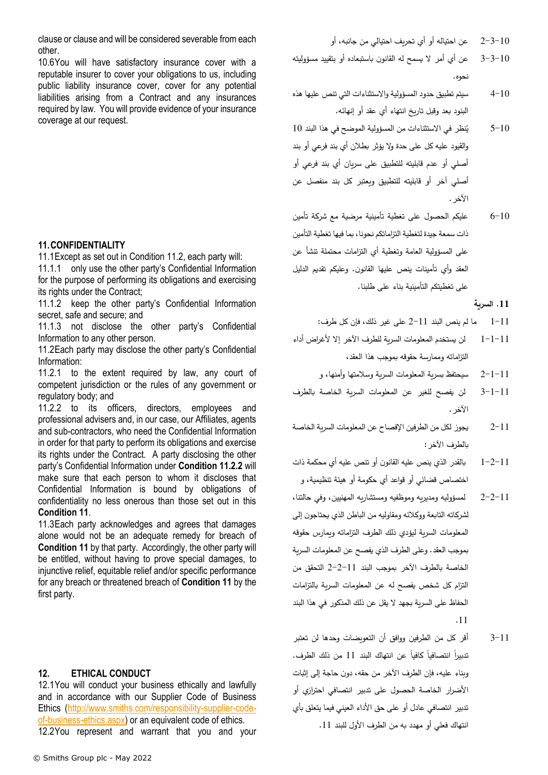10.6You will have satisfactory insurance cover with a reputable insurer to cover your obligations to us, including public liability insurance cover, cover for any potential liabilities arising from a Contract and any insurances required by law. You will provide evidence of your insurance coverage at our request.

## <span id="page-10-0"></span>**11.CONFIDENTIALITY**

11.1Except as set out in Condition [11.2,](#page-10-1) each party will:

11.1.1 only use the other party's Confidential Information for the purpose of performing its obligations and exercising its rights under the Contract;

11.1.2 keep the other party's Confidential Information secret, safe and secure; and

11.1.3 not disclose the other party's Confidential Information to any other person.

<span id="page-10-1"></span>11.2Each party may disclose the other party's Confidential Information:

11.2.1 to the extent required by law, any court of competent jurisdiction or the rules of any government or regulatory body; and

<span id="page-10-2"></span>11.2.2 to its officers, directors, employees and professional advisers and, in our case, our Affiliates, agents and sub-contractors, who need the Confidential Information in order for that party to perform its obligations and exercise its rights under the Contract. A party disclosing the other party's Confidential Information under **Condition [11.2.2](#page-10-2)** will make sure that each person to whom it discloses that Confidential Information is bound by obligations of confidentiality no less onerous than those set out in this **Condition [11](#page-10-0)**.

11.3Each party acknowledges and agrees that damages alone would not be an adequate remedy for breach of **Condition [11](#page-10-0)** by that party. Accordingly, the other party will be entitled, without having to prove special damages, to injunctive relief, equitable relief and/or specific performance for any breach or threatened breach of **Conditio[n 11](#page-10-0)** by the first party.

# <span id="page-10-3"></span>**12. ETHICAL CONDUCT**

12.1You will conduct your business ethically and lawfully and in accordance with our Supplier Code of Business Ethics [\(http://www.smiths.com/responsibility-supplier-code](http://www.smiths.com/responsibility-supplier-code-of-business-ethics.aspx)[of-business-ethics.aspx\)](http://www.smiths.com/responsibility-supplier-code-of-business-ethics.aspx) or an equivalent code of ethics. 12.2You represent and warrant that you and your

- 3-3-10 عن أي أمر ال يسمح له القانون باستبعاده أو بتقييد مسؤوليته نحوه.
- 4-10 سيتم تطبيق حدود المسؤولية والاستثناءات التي تنص عليها هذه البنود بعد وقبل تاريخ انتهاء أي عقد أو إنهائه.
- ُ 5-10 نظر في االستثناءات من المسؤولية الموضح في هذا البند ي 10 والقيود عليه كل على حدة وال يؤثر بطالن أي بند فرعي أو بند أصلي أو عدم قابليته للتطبيق على سريان أي بند فرعي أو أصلي آخر أو قابليته للتطبيق ويعتبر كل بند منفصل عن الآخر .
- 6-10 عليكم الحصول على تغطية تأمينية مرضية مع شركة تأمين ذات سمعة جيدة لتغطية التزاماتكم نحونا، بما فيها تغطية التأمين على المسؤولية العامة وتغطية أي التزامات محتملة تنشأ عن العقد وأي تأمينات ينص عليها القانون. وعليكم تقديم الدليل على تغطيتكم التأمينية بناء على طلبنا.

## **.11 السرية**

- 1-11 ما لم ينص البند 2-11 على غير ذلك، فإن كل طرف:
- 1-1-11 لن يستخدم المعلومات السرية للطرف اآلخر إال ألغراض أداء التزاماته وممارسة حقوقه بموجب هذا العقد،

2-1-11 سيحتفظ بسرية المعلومات السرية وسالمتها وأمنها، و

- 3-1-11 لن يفصح للغير عن المعلومات السرية الخاصة بالطرف اآلخر.
- 2-11 يجوز لكل من الطرفين اإلفصاح عن المعلومات السرية الخاصة بالطرف اآلخر:
- 1-2-11 بالقدر الذي ينص عليه القانون أو تنص عليه أي محكمة ذات اختصاص قضائي أو قواعد أي حكومة أو هيئة تنظيمية، و
- 2-2-11 لمسؤوليه ومديريه وموظفيه ومستشاريه المهنيين، وفي حالتنا، لشركاته التابعة ووكالئه ومقاوليه من الباطن الذي يحتاجون إلى المعلومات السربة ليؤدي ذلك الطرف التزاماته وبمارس حقوقه بموجب العقد. وعلى الطرف الذي يفصح عن المعلومات السرية الخاصة بالطرف اآلخر بموجب البند 2-2-11 التحقق من التزام كل شخص يفصح له عن المعلومات السرية بالتزامات الحفاظ على السرية بجهد ال يقل عن ذلك المذكور في هذا البند .11
- 3-11 أقر كل من الطرفين ووافق أن التعويضات وحدها لن تعتبر تدبيرا انتصافيا كافيا عن انتهاك البند 11 من ذلك الطرف. وبناء عليه، فإن الطرف اآلخر من حقه، دون حاجة إلى إثبات الأضرار الخاصة الحصول على تدبير انتصافي احترازي أو تدبير انتصافي عادل أو على حق األداء العيني فيما يتعلق بأي انتهاك فعلي أو مهدد به من الطرف األول للبند .11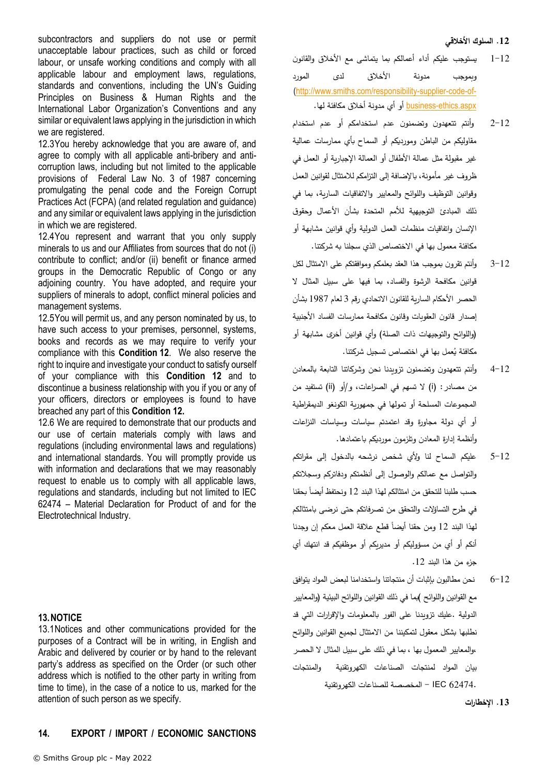#### **.12 السلوك األخالقي**

- 1-12 يستوجب عليكم أداء أعمالكم بما يتماشى مع األخالق والقانون وبموجب مدونة األخالق لدى المورد [\(http://www.smiths.com/responsibility-supplier-code-of-](http://www.smiths.com/responsibility-supplier-code-of-business-ethics.aspx) <u>business-ethics.aspx</u> أو أي مدونة أخلاق مكافئة لها.
	- 2-12 وأنتم تتعهدون وتضمنون عدم استخدامكم أو عدم استخدام $\sim 2$ مقاوليكم من الباطن ومورديكم أو السماح بأي ممارسات عمالية غير مقبولة مثل عمالة الأطفال أو العمالة الإجبارية أو العمل في ظروف غير مأمونة، باإلضافة إلى التزامكم لالمتثال لقوانين العمل وقوانين التوظيف واللوائح والمعايير واالتفاقيات السارية، بما في ذلك المبادئ التوجيهية لألمم المتحدة بشأن األعمال وحقوق الإنسان واتفاقيات منظمات العمل الدولية وأي قوانين مشابهة أو مكافئة معمول بها في االختصاص الذي سجلنا به شركتنا.
	- 3-12 وأنتم تقرون بموجب هذا العقد بعلمكم وموافقتكم على االمتثال لكل قوانين مكافحة الرشوة والفساد، بما فيها على سبيل المثال ال الحصر الأحكام السارية للقانون الاتحادي رقم 3 لعام 1987 بشأن إصدار قانون العقوبات وقانون مكافحة ممارسات الفساد األجنبية )واللوائح والتوجيهات ذات الصلة( وأي قوانين أخرى مشابهة أو مكافئة يُعمل بها في اختصاص تسجيل شركتنا.<br>.
	- 4-12 وأنتم تتعهدون وتضمنون تزويدنا نحن وشركاتنا التابعة بالمعادن من مصادر : (i) لا تسهم في الصراعات، و/أو (ii) تستفيد من المجموعات المسلحة أو تمولها في جمهورية الكونغو الديمقراطية أو أي دولة مجاورة وقد اعتمدتم سياسات وسياسات النزاعات وأنظمة إدارة المعادن وتلزمون مورديكم باعتمادها.
	- 5-12 عليكم السماح لنا وألي شخص نرشحه بالدخول إلى مقراتكم والتواصل مع عمالكم والوصول إلى أنظمتكم ودفاتركم وسجالتكم حسب طلبنا للتحقق من امتثالكم لهذا البند 12 ونحتفظ أيضا بحقنا في طرح التساؤالت والتحقق من تصرفاتكم حتى نرضى بامتثالكم لهذا البند 12 ومن حقنا أيضا قطع علاقة العمل معكم إن وجدنا أنكم أو أي من مسؤوليكم أو مديريكم أو موظفيكم قد انتهك أي جزء من هذا البند 12.
	- 6-12 نحن مطالبون بإثبات أن منتجاتنا واستخدامنا لبعض المواد يتوافق مع القوانين واللوائح )بما في ذلك القوانين واللوائح البيئية (والمعايير الدولية .عليك تزويدنا على الفور بالمعلومات واإلقرارات التي قد نطلبها بشكل معقول لتمكيننا من االمتثال لجميع القوانين واللوائح ،والمعايير المعمول بها ، بما في ذلك على سبيل المثال ال الحصر بيان المواد لمنتجات الصناعات الكهروتقنية والمنتجات 62474. IEC - المخصصة للصناعات الكهروتقنية

**.13 اإلخطارات** 

subcontractors and suppliers do not use or permit unacceptable labour practices, such as child or forced labour, or unsafe working conditions and comply with all applicable labour and employment laws, regulations, standards and conventions, including the UN's Guiding Principles on Business & Human Rights and the International Labor Organization's Conventions and any similar or equivalent laws applying in the jurisdiction in which we are registered.

12.3You hereby acknowledge that you are aware of, and agree to comply with all applicable anti-bribery and anticorruption laws, including but not limited to the applicable provisions of Federal Law No. 3 of 1987 concerning promulgating the penal code and the Foreign Corrupt Practices Act (FCPA) (and related regulation and guidance) and any similar or equivalent laws applying in the jurisdiction in which we are registered.

12.4You represent and warrant that you only supply minerals to us and our Affiliates from sources that do not (i) contribute to conflict; and/or (ii) benefit or finance armed groups in the Democratic Republic of Congo or any adjoining country. You have adopted, and require your suppliers of minerals to adopt, conflict mineral policies and management systems.

12.5You will permit us, and any person nominated by us, to have such access to your premises, personnel, systems, books and records as we may require to verify your compliance with this **Condition [12](#page-10-3)**. We also reserve the right to inquire and investigate your conduct to satisfy ourself of your compliance with this **Condition [12](#page-10-3)** and to discontinue a business relationship with you if you or any of your officers, directors or employees is found to have breached any part of this **Condition [12.](#page-10-3)** 

12.6 We are required to demonstrate that our products and our use of certain materials comply with laws and regulations (including environmental laws and regulations) and international standards. You will promptly provide us with information and declarations that we may reasonably request to enable us to comply with all applicable laws, regulations and standards, including but not limited to IEC 62474 – Material Declaration for Product of and for the Electrotechnical Industry.

## **13.NOTICE**

<span id="page-11-0"></span>13.1Notices and other communications provided for the purposes of a Contract will be in writing, in English and Arabic and delivered by courier or by hand to the relevant party's address as specified on the Order (or such other address which is notified to the other party in writing from time to time), in the case of a notice to us, marked for the attention of such person as we specify.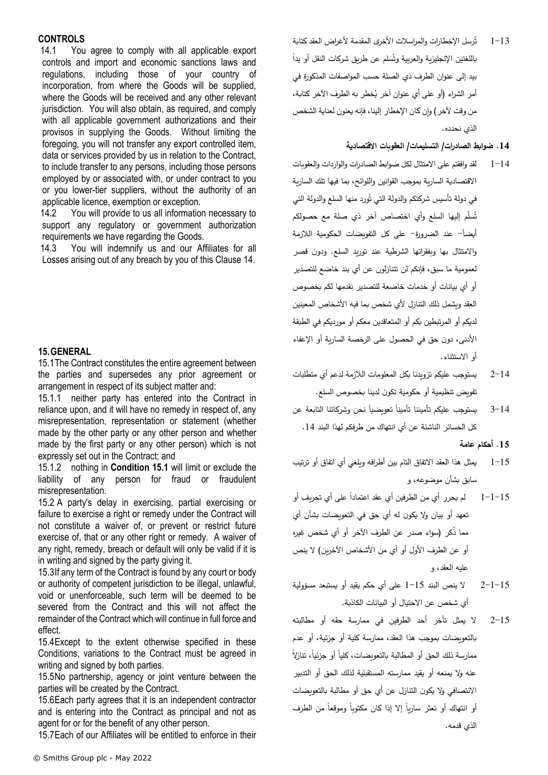## **CONTROLS**

14.1 You agree to comply with all applicable export controls and import and economic sanctions laws and regulations, including those of your country of incorporation, from where the Goods will be supplied, where the Goods will be received and any other relevant jurisdiction. You will also obtain, as required, and comply with all applicable government authorizations and their provisos in supplying the Goods. Without limiting the foregoing, you will not transfer any export controlled item, data or services provided by us in relation to the Contract, to include transfer to any persons, including those persons employed by or associated with, or under contract to you or you lower-tier suppliers, without the authority of an applicable licence, exemption or exception.

14.2 You will provide to us all information necessary to support any regulatory or government authorization requirements we have regarding the Goods.

14.3 You will indemnify us and our Affiliates for all Losses arising out of any breach by you of this Claus[e 14.](#page-11-0)

## **15.GENERAL**

<span id="page-12-0"></span>15.1The Contract constitutes the entire agreement between the parties and supersedes any prior agreement or arrangement in respect of its subject matter and:

15.1.1 neither party has entered into the Contract in reliance upon, and it will have no remedy in respect of, any misrepresentation, representation or statement (whether made by the other party or any other person and whether made by the first party or any other person) which is not expressly set out in the Contract; and

15.1.2 nothing in **Condition [15.1](#page-12-0)** will limit or exclude the liability of any person for fraud or fraudulent misrepresentation.

15.2 A party's delay in exercising, partial exercising or failure to exercise a right or remedy under the Contract will not constitute a waiver of, or prevent or restrict future exercise of, that or any other right or remedy. A waiver of any right, remedy, breach or default will only be valid if it is in writing and signed by the party giving it.

15.3If any term of the Contract is found by any court or body or authority of competent jurisdiction to be illegal, unlawful, void or unenforceable, such term will be deemed to be severed from the Contract and this will not affect the remainder of the Contract which will continue in full force and effect.

15.4Except to the extent otherwise specified in these Conditions, variations to the Contract must be agreed in writing and signed by both parties.

15.5No partnership, agency or joint venture between the parties will be created by the Contract.

15.6Each party agrees that it is an independent contractor and is entering into the Contract as principal and not as agent for or for the benefit of any other person.

<span id="page-12-1"></span>15.7Each of our Affiliates will be entitled to enforce in their

- 1–13 تُرسِل الإخطارات والمراسلات الأخرى المقدمة لأغراض العقد كتابة باللغتين الإنجليزية والعربية وتُسلم عن طريق شركات النقل أو يدا بيد إلى عنوان الطرف ذي الصلة حسب المواصفات المذكورة في أمر الشراء (أو على أي عنوان آخر يُخطر به الطرف الآخر كتابة، من وقت لآخر ) وإن كان الإخطار إلينا، فإنه يعنون لعناية الشخص الذي نحدده.
	- **.14 ضوابط الصادرات/ التسليمات/ العقوبات االقتصادية**
- 1-14 لقد وافقتم على االمتثال لكل ضوابط الصادرات والواردات والعقوبات االقتصادية السارية بموجب القوانين واللوائح، بما فيها تلك السارية في دولة تأسيس شركتكم والدولة التي تُورد منها السلع والدولة التي ُسلّم إليها السلع وأي اختصاص آخر ذي صلة مع حصولكم ت أيضا- عند الضرورة- على كل التفويضات الحكومية الالزمة ً والامتثال بها وبفقراتها الشرطية عند توريد السلع. ودون قصر لعمومية ما سبق، فإنكم لن تتنازلون عن أي بند خاضع للتصدير أو أي بيانات أو خدمات خاضعة للتصدير نقدمها لكم بخصوص العقد وبشمل ذلك التنازل لأي شخص بما فيه الأشخاص المعينين لديكم أو المرتبطين بكم أو المتعاقدين معكم أو مورديكم في الطبقة األدنى، دون حق في الحصول على الرخصة السارية أو اإلعفاء أو االستثناء.
- 2-14 يستوجب عليكم تزويدنا بكل المعلومات الالزمة لدعم أي متطلبات تفويض تنظيمية أو حكومية تكون لدينا بخصوص السلع.
- 3–14 ٪ يستوجب عليكم تأميننا تأميناً تعويضياً نحن وشركاتنا التابعة عن كل الخسائر الناشئة عن أي انتهاك من طرفكم لهذا البند .14

**.15 أحكام عامة** 

- 1-15 يمثل هذا العقد االتفاق التام بين أطرافه ويلغي أي اتفاق أو ترتيب سابق بشأن موضوعه، و
- 1−1−15 لم يحرر أي من الطرفين أي عقد اعتمادا على أي تحريف أو تعهد أو بيان وال يكون له أي حق في التعويضات بشأن أي مما ذكر (سواء صدر عن الطرف الأخر أو أي شخص غيره أو عن الطرف الأول أو أي من الأشخاص الآخرين) لا ينص عليه العقد، و
- 2-1-15 ال ينص البند 1-15 على أي حكم يقيد أو يستبعد مسؤولية أي شخص عن االحتيال أو البيانات الكاذبة.
- 2-15 ال يمثل تأخر أحد الطرفين في ممارسة حقه أو مطالبته بالتعويضات بموجب هذا العقد، ممارسة كلية أو جزئية، أو عدم ممارسة ذلك الحق أو المطالبة بالتعويضات، كليا أو جزئيا، تنازلا عنه وال يمنعه أو يقيد ممارسته المستقبلية لذلك الحق أو التدبير االنتصافي وال يكون التنازل عن أي حق أو مطالبة بالتعويضات أو انتهاك أو تعثر ساريا إلا إذا كان مكتوبا وموقعا من الطرف الذي قدمه.